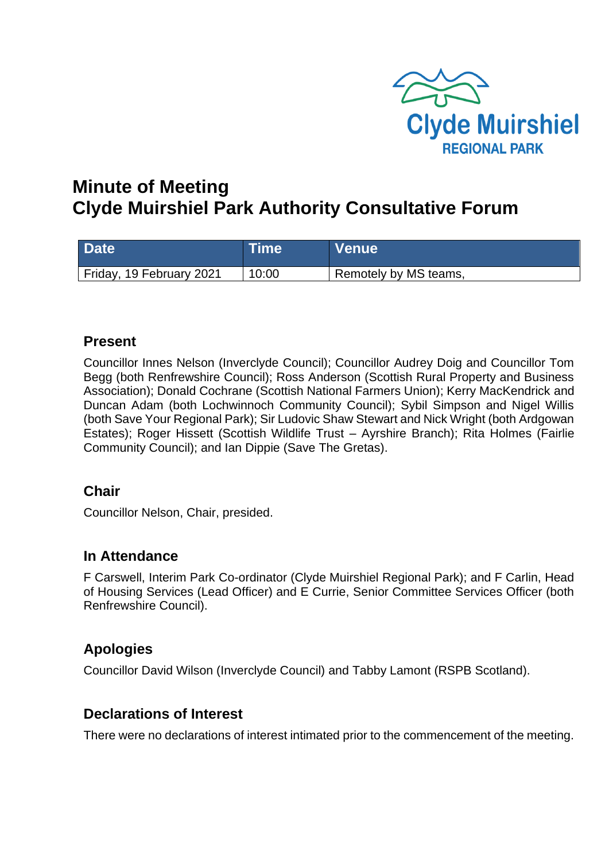

# **Minute of Meeting Clyde Muirshiel Park Authority Consultative Forum**

| <b>Date</b>              | <b>Time</b> | <b>Venue</b>          |
|--------------------------|-------------|-----------------------|
| Friday, 19 February 2021 | 10:00       | Remotely by MS teams, |

#### **Present**

Councillor Innes Nelson (Inverclyde Council); Councillor Audrey Doig and Councillor Tom Begg (both Renfrewshire Council); Ross Anderson (Scottish Rural Property and Business Association); Donald Cochrane (Scottish National Farmers Union); Kerry MacKendrick and Duncan Adam (both Lochwinnoch Community Council); Sybil Simpson and Nigel Willis (both Save Your Regional Park); Sir Ludovic Shaw Stewart and Nick Wright (both Ardgowan Estates); Roger Hissett (Scottish Wildlife Trust – Ayrshire Branch); Rita Holmes (Fairlie Community Council); and Ian Dippie (Save The Gretas).

#### **Chair**

Councillor Nelson, Chair, presided.

## **In Attendance**

F Carswell, Interim Park Co-ordinator (Clyde Muirshiel Regional Park); and F Carlin, Head of Housing Services (Lead Officer) and E Currie, Senior Committee Services Officer (both Renfrewshire Council).

## **Apologies**

Councillor David Wilson (Inverclyde Council) and Tabby Lamont (RSPB Scotland).

## **Declarations of Interest**

There were no declarations of interest intimated prior to the commencement of the meeting.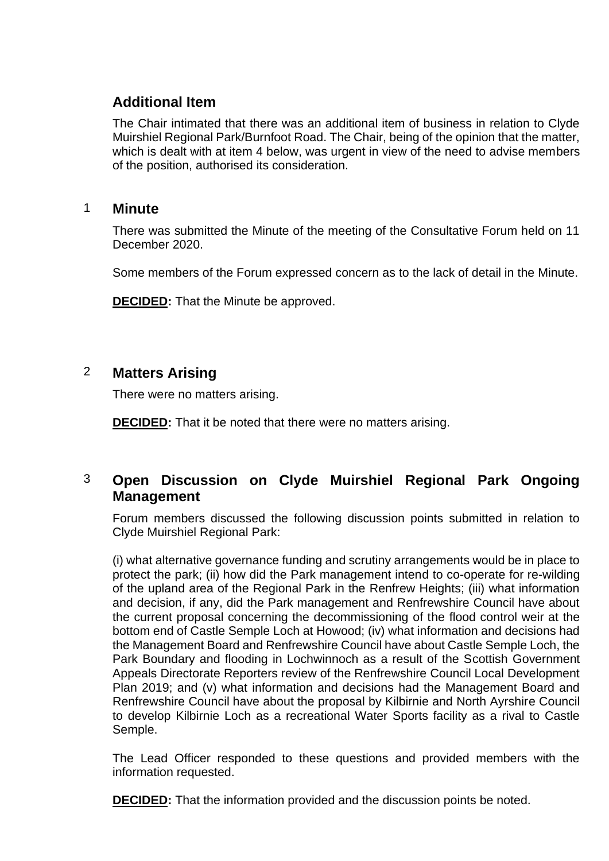# **Additional Item**

The Chair intimated that there was an additional item of business in relation to Clyde Muirshiel Regional Park/Burnfoot Road. The Chair, being of the opinion that the matter, which is dealt with at item 4 below, was urgent in view of the need to advise members of the position, authorised its consideration.

#### 1 **Minute**

There was submitted the Minute of the meeting of the Consultative Forum held on 11 December 2020.

Some members of the Forum expressed concern as to the lack of detail in the Minute.

**DECIDED:** That the Minute be approved.

# 2 **Matters Arising**

There were no matters arising.

**DECIDED:** That it be noted that there were no matters arising.

# 3 **Open Discussion on Clyde Muirshiel Regional Park Ongoing Management**

Forum members discussed the following discussion points submitted in relation to Clyde Muirshiel Regional Park:

(i) what alternative governance funding and scrutiny arrangements would be in place to protect the park; (ii) how did the Park management intend to co-operate for re-wilding of the upland area of the Regional Park in the Renfrew Heights; (iii) what information and decision, if any, did the Park management and Renfrewshire Council have about the current proposal concerning the decommissioning of the flood control weir at the bottom end of Castle Semple Loch at Howood; (iv) what information and decisions had the Management Board and Renfrewshire Council have about Castle Semple Loch, the Park Boundary and flooding in Lochwinnoch as a result of the Scottish Government Appeals Directorate Reporters review of the Renfrewshire Council Local Development Plan 2019; and (v) what information and decisions had the Management Board and Renfrewshire Council have about the proposal by Kilbirnie and North Ayrshire Council to develop Kilbirnie Loch as a recreational Water Sports facility as a rival to Castle Semple.

The Lead Officer responded to these questions and provided members with the information requested.

**DECIDED:** That the information provided and the discussion points be noted.